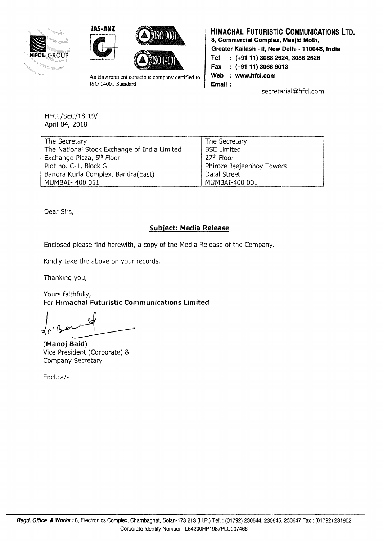





An Environment conscious company certified to ISO 14001 Standard

## **HIMACHAL FUTURISTIC COMMUNICATIONS LTD. 8, Commercial Complex, Masjid Moth,**

**Greater Kailash - II, New Delhi - 110048, India** 

**Tel : {+91 11) 3088 2624, 3088 2626** 

**Fax {+91 11) 3068 9013** 

Web : www.hfcl.com

**Email** :

secretarial@hfcl.com

HFCL/SEC/18-19/ April 04, 2018

| The Secretary                                | The Secretary             |
|----------------------------------------------|---------------------------|
| The National Stock Exchange of India Limited | <b>BSE Limited</b>        |
| Exchange Plaza, 5 <sup>th</sup> Floor        | 27 <sup>th</sup> Floor    |
| Plot no. C-1, Block G                        | Phiroze Jeejeebhoy Towers |
| Bandra Kurla Complex, Bandra(East)           | Dalal Street              |
| MUMBAI- 400 051                              | MUMBAI-400 001            |

Dear Sirs,

## **Subiect: Media Release**

Enclosed please find herewith, a copy of the Media Release of the Company.

Kindly take the above on your records.

Thanking you,

Yours faithfully, For **Himachal Futuristic Communications Limited** 

**(Manoj Baid)**  Vice President (Corporate) & Company Secretary

Encl.:a/a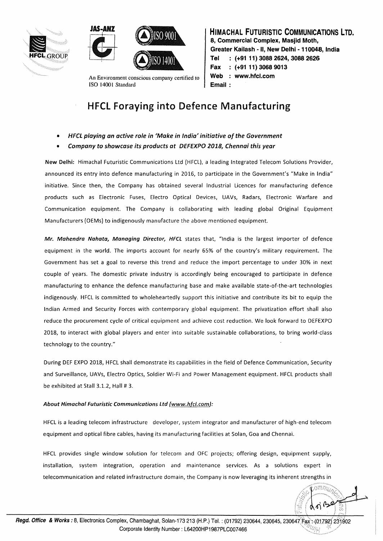





An Environment conscious company certified to !SO 1400I Standard

**HIMACHAL FUTURISTIC COMMUNICATIONS LTD. 8, Commercial Complex, Masjid Moth, Greater Kailash - II, New Delhi - 110048, India HFCLGROUP Tel (+91 11) 3088 2624, 3088 2626 Fax (+91 11) 3068 9013**  Web : www.hfcl.com **Email:** 

## **HFCL Foraying into Defence Manufacturing**

- **HFCL playing an active role in 'Make in India' initiative of the Government**
- **Company to showcase its products at DEFEXPO 2018, Chennai this year**

**New Delhi:** Himachal Futuristic Communications Ltd (HFCL). a leading Integrated Telecom Solutions Provider, announced its entry into defence manufacturing in 2016, to participate in the Government's "Make in India" initiative. Since then, the Company has obtained several Industrial Licences for manufacturing defence products such as Electronic Fuses, Electro Optical Devices, UAVs, Radars, Electronic Warfare and Communication equipment. The Company is collaborating with leading global Original Equipment Manufacturers (OEMs) to indigenously manufacture the above mentioned equipment.

**Mr. Mahendra Nahata, Managing Director, HFCL** states that, "India is the largest importer of defence equipment in the world. The imports account for nearly 65% of the country's military requirement. The Government has set a goal to reverse this trend and reduce the import percentage to under 30% in next couple of years. The domestic private industry is accordingly being encouraged to participate in defence manufacturing to enhance the defence manufacturing base and make available state-of-the-art technologies indigenously. HFCL is committed to wholeheartedly support this initiative and contribute its bit to equip the Indian Armed and Security Forces with contemporary global equipment. The privatization effort shall also reduce the procurement cycle of critical equipment and achieve cost reduction. We look forward to DEFEXPO 2018, to interact with global players and enter into suitable sustainable collaborations, to bring world-class technology to the country."

During DEF EXPO 2018, HFCL shall demonstrate its capabilities in the field of Defence Communication, Security and Surveillance, UAVs, Electro Optics, Soldier Wi-Fi and Power Management equipment. HFCL products shall be exhibited at Stall 3.1.2, Hall # 3.

## About Himachal Futuristic Communications Ltd (www.hfcl.com):

HFCL is a leading telecom infrastructure developer, system integrator and manufacturer of high-end telecom equipment and optical fibre cables, having its manufacturing facilities at Solan, Goa and Chennai.

HFCL provides single window solution for telecom and OFC projects; offering design, equipment supply, installation, system integration, operation and maintenance services. As a solutions expert in telecommunication and related infrastructure domain, the Company is now leveraging its inherent strengths in

 $\widehat{\text{omm}_{U_{\ell}}},$